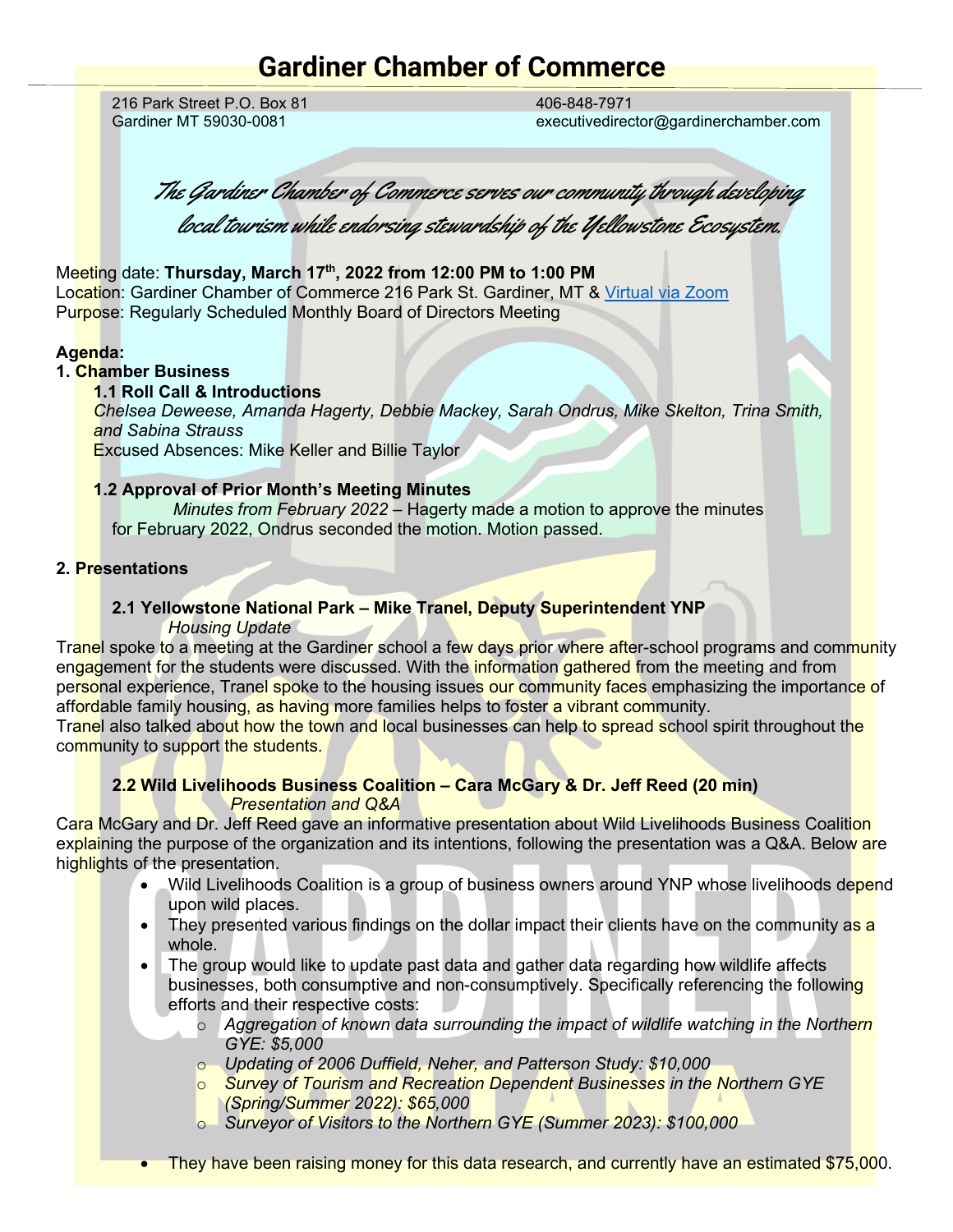# **Gardiner Chamber of Commerce**

216 Park Street P.O. Box 81 Gardiner MT 59030-0081

406-848-7971 executivedirector@gardinerchamber.com

The Gardiner Chamber of Commerce serves our community through developing local tourism while endorsing stewardship of the Yellowstone Ecosystem.

Meeting date: **Thursday, March 17th, 2022 from 12:00 PM to 1:00 PM**  Location: Gardiner Chamber of Commerce 216 Park St. Gardiner, MT & [Virtual via Zoom](https://us02web.zoom.us/j/87417871215) Purpose: Regularly Scheduled Monthly Board of Directors Meeting

#### **Agenda:**

#### **1. Chamber Business**

#### **1.1 Roll Call & Introductions**

*Chelsea Deweese, Amanda Hagerty, Debbie Mackey, Sarah Ondrus, Mike Skelton, Trina Smith, and Sabina Strauss* 

Excused Absences: Mike Keller and Billie Taylor

#### **1.2 Approval of Prior Month's Meeting Minutes**

*Minutes from February 2022* – Hagerty made a motion to approve the minutes for February 2022, Ondrus seconded the motion. Motion passed.

#### **2. Presentations**

#### **2.1 Yellowstone National Park – Mike Tranel, Deputy Superintendent YNP** *Housing Update*

Tranel spoke to a meeting at the Gardiner school a few days prior where after-school programs and community engagement for the students were discussed. With the information gathered from the meeting and from personal experience, Tranel spoke to the housing issues our community faces emphasizing the importance of affordable family housing, as having more families helps to foster a vibrant community.

Tranel also talked about how the town and local businesses can help to spread school spirit throughout the community to support the students.

## **2.2 Wild Livelihoods Business Coalition – Cara McGary & Dr. Jeff Reed (20 min)** *Presentation and Q&A*

Cara McGary and Dr. Jeff Reed gave an informative presentation about Wild Livelihoods Business Coalition explaining the purpose of the organization and its intentions, following the presentation was a Q&A. Below are highlights of the presentation.

- Wild Livelihoods Coalition is a group of business owners around YNP whose livelihoods depend upon wild places.
- They presented various findings on the dollar impact their clients have on the community as a whole.
- The group would like to update past data and gather data regarding how wildlife affects businesses, both consumptive and non-consumptively. Specifically referencing the following efforts and their respective costs:
	- o *Aggregation of known data surrounding the impact of wildlife watching in the Northern GYE: \$5,000*
	- o *Updating of 2006 Duffield, Neher, and Patterson Study: \$10,000*
	- o *Survey of Tourism and Recreation Dependent Businesses in the Northern GYE (Spring/Summer 2022): \$65,000*
	- o *Surveyor of Visitors to the Northern GYE (Summer 2023): \$100,000*
- They have been raising money for this data research, and currently have an estimated \$75,000.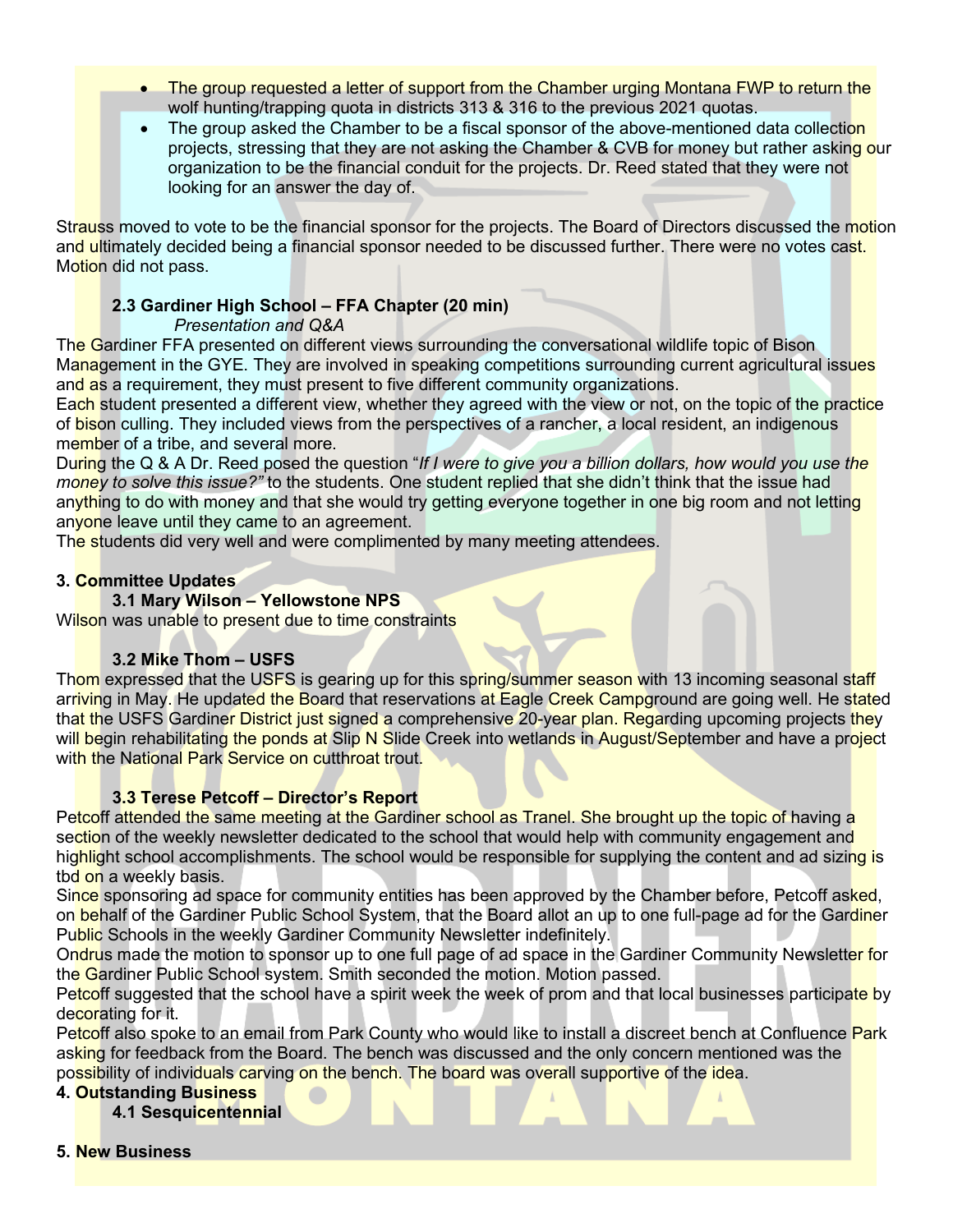- The group requested a letter of support from the Chamber urging Montana FWP to return the wolf hunting/trapping quota in districts 313 & 316 to the previous 2021 quotas.
- The group asked the Chamber to be a fiscal sponsor of the above-mentioned data collection projects, stressing that they are not asking the Chamber & CVB for money but rather asking our organization to be the financial conduit for the projects. Dr. Reed stated that they were not looking for an answer the day of.

Strauss moved to vote to be the financial sponsor for the projects. The Board of Directors discussed the motion and ultimately decided being a financial sponsor needed to be discussed further. There were no votes cast. Motion did not pass.

## **2.3 Gardiner High School – FFA Chapter (20 min)**

## *Presentation and Q&A*

The Gardiner FFA presented on different views surrounding the conversational wildlife topic of Bison Management in the GYE. They are involved in speaking competitions surrounding current agricultural issues and as a requirement, they must present to five different community organizations.

Each student presented a different view, whether they agreed with the view or not, on the topic of the practice of bison culling. They included views from the perspectives of a rancher, a local resident, an indigenous member of a tribe, and several more.

During the Q & A Dr. Reed posed the question "*If I were to give you a billion dollars, how would you use the money to solve this issue?"* to the students. One student replied that she didn't think that the issue had anything to do with money and that she would try getting everyone together in one big room and not letting anyone leave until they came to an agreement.

The students did very well and were complimented by many meeting attendees.

## **3. Committee Updates**

## **3.1 Mary Wilson – Yellowstone NPS**

Wilson was unable to present due to time constraints

## **3.2 Mike Thom – USFS**

Thom expressed that the USFS is gearing up for this spring/summer season with 13 incoming seasonal staff arriving in May. He updated the Board that reservations at Eagle Creek Campground are going well. He stated that the USFS Gardiner District just signed a comprehensive 20-year plan. Regarding upcoming projects they will begin rehabilitating the ponds at Slip N Slide Creek into wetlands in August/September and have a project with the National Park Service on cutthroat trout.

## **3.3 Terese Petcoff – Director's Report**

Petcoff attended the same meeting at the Gardiner school as Tranel. She brought up the topic of having a section of the weekly newsletter dedicated to the school that would help with community engagement and highlight school accomplishments. The school would be responsible for supplying the content and ad sizing is tbd on a weekly basis.

Since sponsoring ad space for community entities has been approved by the Chamber before, Petcoff asked, on behalf of the Gardiner Public School System, that the Board allot an up to one full-page ad for the Gardiner Public Schools in the weekly Gardiner Community Newsletter indefinitely.

Ondrus made the motion to sponsor up to one full page of ad space in the Gardiner Community Newsletter for the Gardiner Public School system. Smith seconded the motion. Motion passed.

Petcoff suggested that the school have a spirit week the week of prom and that local businesses participate by decorating for it.

Petcoff also spoke to an email from Park County who would like to install a discreet bench at Confluence Park asking for feedback from the Board. The bench was discussed and the only concern mentioned was the possibility of individuals carving on the bench. The board was overall supportive of the idea.

#### **4. Outstanding Business**

- **4.1 Sesquicentennial**
- **5. New Business**